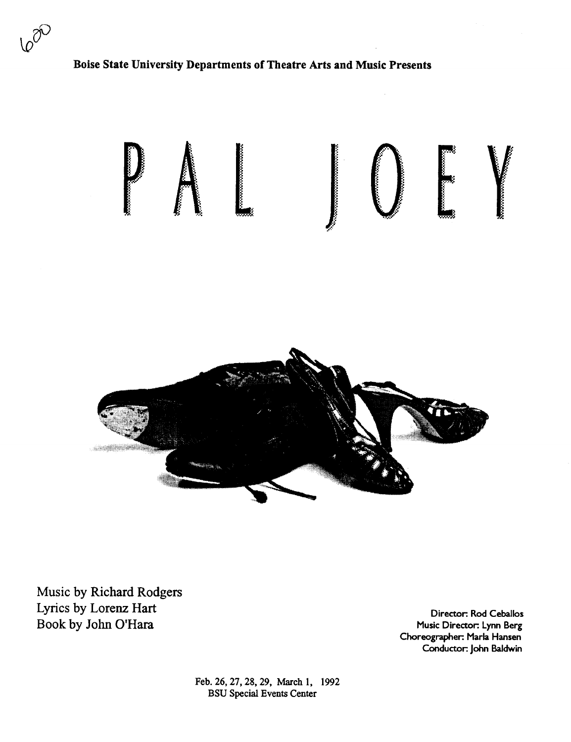

## Boise State University Departments of Theatre Arts and Music Presents



Music by Richard Rodgers Lyrics by Lorenz Hart Book by John O'Hara

Director: Rod Ceballos Music Director: Lynn Berg Choreographer: Marla Hansen Conductor: John Baldwin

Feb. 26, 27, 28, 29, March 1, 1992 BSU Special Events Center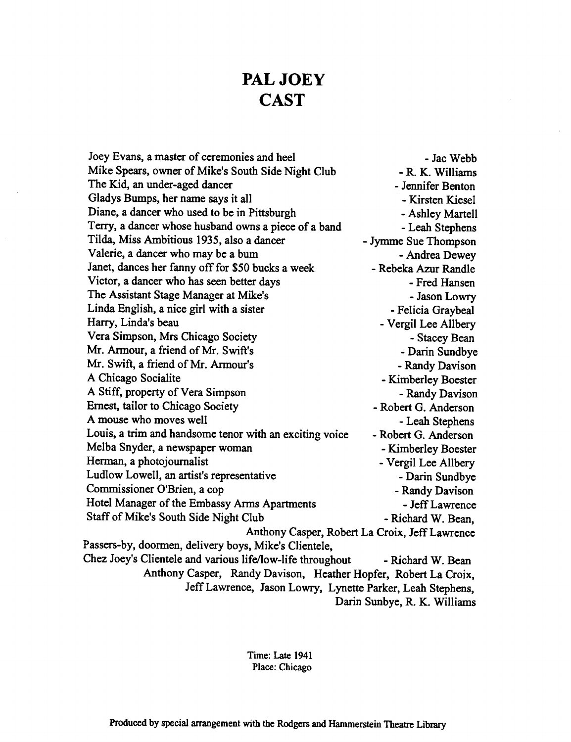# **PAL JOEY CAST**

Joey Evans, a master of ceremonies and heel - Jac Webb Mike Spears, owner of Mike's South Side Night Club - R. K. Williams The Kid, an under-aged dancer - Jennifer Benton Gladys Bumps, her name says it all **Example 2018** - Kirsten Kiesel Diane, a dancer who used to be in Pittsburgh - Ashley Martell Terry, a dancer whose husband owns a piece of a band - Leah Stephens Tilda, Miss Ambitious 1935, also a dancer - Jymme Sue Thompson Valerie, a dancer who may be a bum - Andrea Dewey Janet, dances her fanny off for *\$50* bucks a week - Rebeka Azur Randle Victor, a dancer who has seen better days The Second Level Assemble 1 and The Fred Hansen The Assistant Stage Manager at Mike's **Fig. 2018** - Jason Lowry Linda English, a nice girl with a sister - Felicia Graybeal<br>Harry, Linda's beau - Vergil Lee Allberv - Vergil Lee Allbery Vera Simpson, Mrs Chicago Society - Stacey Bean Mr. Armour, a friend of Mr. Swift's -Darin Sundbye Mr. Swift, a friend of Mr. Armour's - Randy Davison<br>A Chicago Socialite - Kimberlev Roester - Kimberley Boester A Stiff, property of Vera Simpson - Randy Davison Ernest, tailor to Chicago Society - Robert G. Anderson A mouse who moves well - Leah Stephens Louis, a trim and handsome tenor with an exciting voice - Robert G. Anderson Melba Snyder, a newspaper woman - Kimberley Boester Herman, a photojournalist - Vergil Lee Allbery Ludlow Lowell, an artist's representative - Darin Sundbye Commissioner O'Brien, a cop - Randy Davison Hotel Manager of the Embassy Arms Apartments - Jeff Lawrence Staff of Mike's South Side Night Club - Richard W. Bean, Anthony Casper, Robert La Croix, Jeff Lawrence Passers-by, doormen, delivery boys, Mike's Clientele, Chez Joey's Clientele and various life/low-life throughout - Richard W. Bean Anthony Casper, Randy Davison, Heather Hopfer, Robert La Croix, Jeff Lawrence, Jason Lowry, Lynette Parker, Leah Stephens, Darin Sunbye, R. K. Williams

> Time: Late 1941 Place: Chicago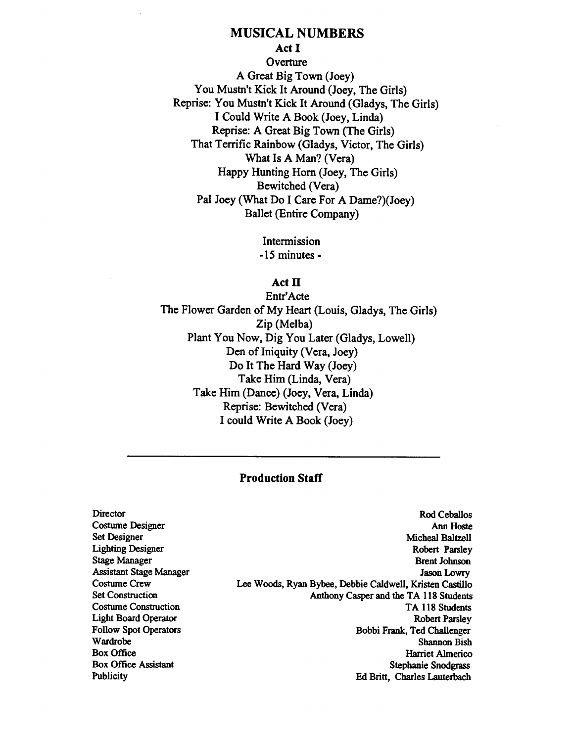# MUSICAL NUMBERS

### Act I

**Overture** A Great Big Town (Joey) You Mustn't Kick It Around (Joey, The Girls) Reprise: You Mustn't Kick It Around (Gladys, The Girls) I Could Write A Book (Joey, Linda) Reprise: A Great Big Town (The Girls) That Terrific Rainbow (Gladys, Victor, The Girls) What Is A Man? (Vera) Happy Hunting Hom (Joey, The Girls) Bewitched (Vera) Pal Joey (What Do I Care For A Dame?)(Joey) Ballet (Entire Company)

> Intermission -15 minutes-

#### $Act$   $\Pi$

Entr'Acte The Flower Garden of My Heart (Louis, Gladys, The Girls) Zip (Melba) Plant You Now, Dig You Later (Gladys, Lowell) Den of Iniquity (Vera, Joey) Do It The Hard Way (Joey) Take Him (Linda, Vera) Take Him (Dance) (Joey, Vera, Linda) Reprise: Bewitched (Vera) I could Write A Book (Joey)

#### Production Staff

Director Costume Designer Set Designer Lighting Designer Stage Manager Assistant Stage Manager Costume Crew Set Construction Costume Construction Light Board Operator Follow Spot Operators Wardrobe Box Office Box Office Assistant **Publicity** 

Rod Ceballos **Ann Hoste** Micheal Baltzell Robert Parsley Brent Johnson Jason Lowry Lee Woods, Ryan Bybee, Debbie Caldwell, Kristen Castillo Anthony Casper and the TA 118 Students TA 118 Students Robert Parsley Bobbi Frank, Ted Challenger Shannon Bish Harriet Almerico Stephanie Snodgrass Ed Britt, Charles Lauterbach